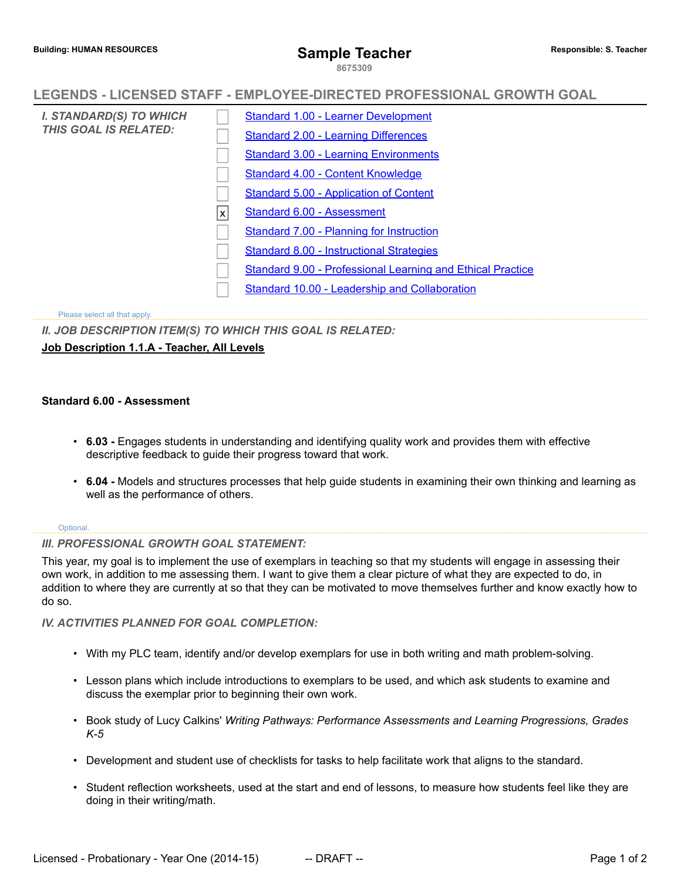**8675309**

# **LEGENDS - LICENSED STAFF - EMPLOYEE-DIRECTED PROFESSIONAL GROWTH GOAL**

| I. STANDARD(S) TO WHICH<br><b>THIS GOAL IS RELATED:</b> |   | <b>Standard 1.00 - Learner Development</b>                 |
|---------------------------------------------------------|---|------------------------------------------------------------|
|                                                         |   | <b>Standard 2.00 - Learning Differences</b>                |
|                                                         |   | <b>Standard 3.00 - Learning Environments</b>               |
|                                                         |   | <b>Standard 4.00 - Content Knowledge</b>                   |
|                                                         |   | <b>Standard 5.00 - Application of Content</b>              |
|                                                         | X | Standard 6.00 - Assessment                                 |
|                                                         |   | Standard 7.00 - Planning for Instruction                   |
|                                                         |   | Standard 8.00 - Instructional Strategies                   |
|                                                         |   | Standard 9.00 - Professional Learning and Ethical Practice |
|                                                         |   | Standard 10.00 - Leadership and Collaboration              |
|                                                         |   |                                                            |

Please select all that apply.

*II. JOB DESCRIPTION ITEM(S) TO WHICH THIS GOAL IS RELATED:*

## **Job Description 1.1.A - Teacher, All Levels**

### **Standard 6.00 - Assessment**

- **6.03 -** Engages students in understanding and identifying quality work and provides them with effective descriptive feedback to guide their progress toward that work.
- **6.04 -** Models and structures processes that help guide students in examining their own thinking and learning as well as the performance of others.

#### Optional.

### *III. PROFESSIONAL GROWTH GOAL STATEMENT:*

This year, my goal is to implement the use of exemplars in teaching so that my students will engage in assessing their own work, in addition to me assessing them. I want to give them a clear picture of what they are expected to do, in addition to where they are currently at so that they can be motivated to move themselves further and know exactly how to do so.

### *IV. ACTIVITIES PLANNED FOR GOAL COMPLETION:*

- With my PLC team, identify and/or develop exemplars for use in both writing and math problem-solving.
- Lesson plans which include introductions to exemplars to be used, and which ask students to examine and discuss the exemplar prior to beginning their own work.
- Book study of Lucy Calkins' *Writing Pathways: Performance Assessments and Learning Progressions, Grades K-5*
- Development and student use of checklists for tasks to help facilitate work that aligns to the standard.
- Student reflection worksheets, used at the start and end of lessons, to measure how students feel like they are doing in their writing/math.